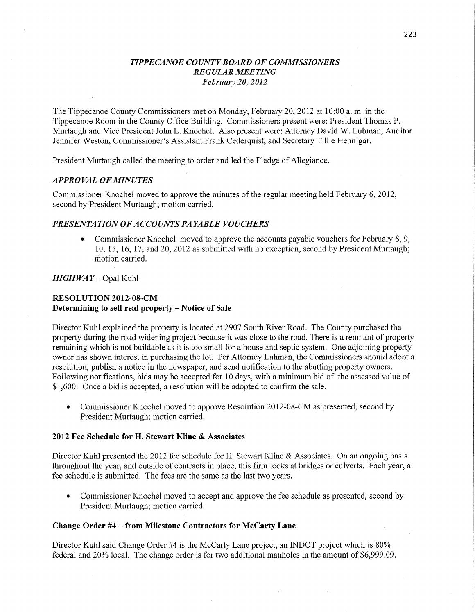# *T IPPE CANOE COUNTY BOARD* OF *COMMISSIONERS REGULAR MEETING Februaly* 20, *2012*

The Tippecanoe County Commissioners met on Monday, February 20, 2012 at 10:00 a. m. in the Tippecanoe Room in the County Office Building. Commissioners present were: President Thomas P. Murtaugh and Vice President John L. Knochel. Also present were: Attorney David W. Luhman, Auditor Jennifer Weston, Commissioner's Assistant Frank Cederquist, and Secretary Tillie Hennigar.

President Murtaugh called the meeting to order and led the Pledge of Allegiance.

## *APPROVAL* OF *MINUTES*

Commissioner Knochel moved to approve the minutes of the regular meeting held February 6, 2012, second by President Murtaugh; motion carried.

## *PRESENTATION* OF *ACCOUNT S* PA *YABLE VOUCHERS*

Commissioner Knochel moved to approve the accounts payable vouchers for February 8, 9, 10, 15, 16, 17, and 20, 2012 as submitted with no exception, second by President Murtaugh; motion carried.

## *HIGH* WA *Y* **—** Opal Kuhl

# **RESOLUTION 2012-08—CM**  Determining to sell **real property** *—* **Notice** of **Sale**

Director Kuhl explained the property is located at 2907 South River Road. The County purchased the property during the road widening project because it was close to the road. There is a remnant of property remaining which is not buildable as it is too small for a house and septic system. One adjoining property owner has shown interest in purchasing the **lot.** Per Attorney Luhman, the Commissioners should adopt <sup>a</sup> resolution, publish a notice in the newspaper, and send notification to the abutting property owners. Following notifications, bids may be accepted for 10 days, with a minimum bid of the assessed value of \$1,600. Once a bid is accepted, a resolution will be adopted to confirm the sale.

• Commissioner Knochel moved to approve Resolution 2012-08-CM as presented, second by President Murtaugh; motion carried.

#### **2012** Fee **Schedule** for H. **Stewart** Kline **& Associates**

Director Kuhl presented the 2012 fee schedule for H. Stewart Kline & Associates. On an ongoing basis throughout the year, and outside of contracts in place, this firm looks at bridges or' culverts. Each year, <sup>a</sup> fee schedule is submitted. The fees are the same as the last two years.

**0** Commissioner Knochel moved to accept and approve the fee schedule as presented, second by President Murtaugh; motion carried.

#### **Change** Order #4 *—* **from** Milestone **Contractors** for **McCarty Lane**

Director Kuhl said Change Order #4 is the McCarty Lane project, an INDOT project which is 80% federal and 20% local. The change order is for two additional manholes in the amount of \$6,999.09.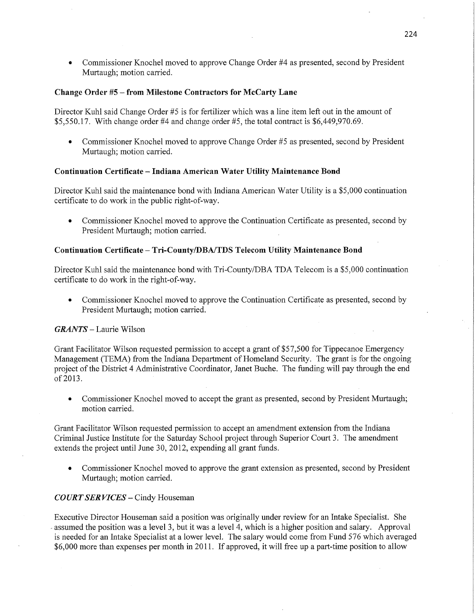**0** Commissioner Knochel moved to approve Change Order #4 as presented, second by President Murtaugh; motion carried.

#### Change Order #5 — from Milestone **Contractors** for **McCarty Lane**

Director Kuhl said Change Order #5 is for fertilizer which was a line item left out in the amount of  $$5,550.17$ . With change order #4 and change order #5, the total contract is  $$6,449,970.69$ .

**0** Commissioner Knochel moved to approve Change Order #5 as presented, second by President Murtaugh; motion carried.

## Continuation **Certificate —** Indiana **American Water Utility Maintenance Bond**

Director Kuhl said the maintenance bond with Indiana American Water Utility is a \$5,000 continuation certificate to do work in the public right-of-way.

**0** Commissioner Knochel moved to approve the Continuation Certificate as presented, second by President Murtaugh; motion carried. '

# Continuation **Certificate** — **Tri-County/DBA/TDS Telecom** Utility **Maintenance Bond**

Director Kuhl said the maintenance bond with Tri-County/DBA TDA Telecom is a \$5,000 continuation certificate to do work in the right-of-way.

**0** Commissioner Knochel moved to approve the Continuation Certificate as presented, second by President Murtaugh; motion carried. '

## *GRANTS —* Laurie Wilson

Grant Facilitator Wilson requested permission to accept a grant of \$57,500 for Tippecanoe Emergency Management (TEMA) from the Indiana Department of Homeland Security. The grant is for the ongoing project of the District 4 Administrative Coordinator, Janet Buche. The funding will pay through the end of 2013.

**0** Commissioner Knochel moved to accept the grant as presented, second by President Murtaugh; motion carried.

Grant Facilitator Wilson requested permission to accept an amendment extension from the Indiana Criminal Justice Institute for the Saturday School project through Superior Court 3. The amendment extends the project until June 30, 2012, expending all grant **funds.** 

**0** Commissioner Knochel moved to approve the grant extension as presented, second by President Murtaugh; motion carried.

#### *COURT* SER *VICES* **—** Cindy Houseman

Executive Director Houseman said a position was originally under review for an Intake Specialist. She *«* assumed the position was <sup>a</sup>level 3, but it was **<sup>a</sup>**level 4, which is a higher position and salary. Approval is needed for an Intake Specialist at a lower level. The salary would come from Fund 576 which averaged \$6,000 more than expenses per month in 2011. If approved, it will free up a part-time position to allow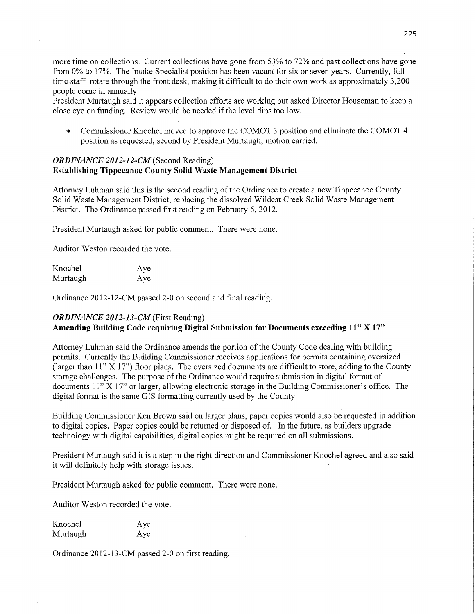more time on collections. Current collections have gone from 53% to 72% and past collections have gone from 0% to 17%. The Intake Specialist position has been vacant for six or seven years. Currently, full time staff rotate through the front desk, making it difficult to do their own work as approximately 3,200 people come in annually

President Murtaugh said it appears collection efforts are working but asked Director Houseman to keep <sup>a</sup> close eye on funding. Review would be needed if the level dips too low.

'0 Commissioner Knochel moved to approve the COMOT 3 position and eliminate the COMOT 4 position as requested, second by President Murtaugh; motion carried.

# *ORDINANCE 2012-12-CM* (Second Reading) **Establishing** Tippecanoe **County** Solid **Waste Management District**

Attorney Luhman said this is the second reading of the Ordinance to create a new Tippecanoe County Solid Waste Management District, replacing the dissolved Wildcat Creek Solid Waste Management District. The Ordinance passed first reading on February 6, 2012.

President Murtaugh asked for public comment. There were none.

Auditor Weston recorded the vote.

| Knochel  | Aye |
|----------|-----|
| Murtaugh | Aye |

Ordinance 2012-12-CM passed 2-0 on second and final reading.

# *ORDINANCE 2012-13-CM* (First Reading)

# **Amending Building Code requiring Digital** Submission for Documents **exceeding** 11" X 17"

Attorney Luhman said the Ordinance amends the portion of the County Code dealing with building permits. Currently the Building Commissioner receives applications for permits containing oversized (larger than  $11'' X 17''$ ) floor plans. The oversized documents are difficult to store, adding to the County storage challenges. The purpose of the Ordinance would require submission in digital format of documents 11" X 17" or larger, allowing electronic storage in the Building Commissioner's office. The digital format is the same GIS formatting currently used by the County.

Building Commissioner Ken Brown said on larger plans, paper copies would also be requested in addition to digital copies. Paper copies could be returned or disposed of. In the future, as builders upgrade technology with digital capabilities, digital copies might be required on all submissions.

President Murtaugh said it is a step in the right direction and Commissioner Knochel agreed and also said it will definitely help with storage issues.

President Murtaugh asked for public comment. There were none.

Auditor Weston recorded the vote.

| Knochel  | Aye |
|----------|-----|
| Murtaugh | Aye |

Ordinance 2012-13-CM passed 2—0 on first reading.